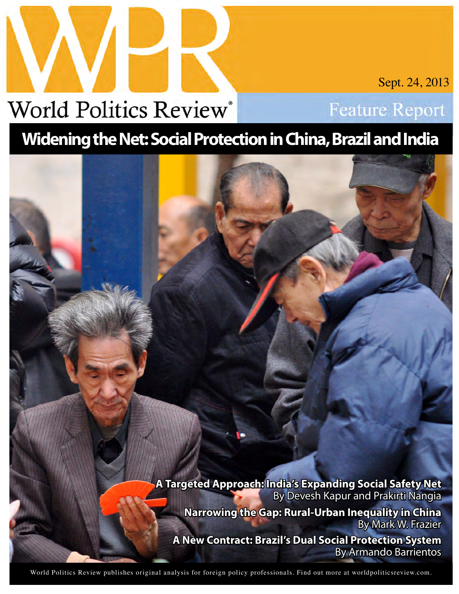# **World Politics Review®**

Sept. 24, 2013

**Feature Report** 

## **Widening the Net: Social Protection in China, Brazil and India**

**A Targeted Approach: India's Expanding Social Safety Net** By Devesh Kapur and Prakirti Nangia **Narrowing the Gap: Rural-Urban Inequality in China** By Mark W. Frazier **A New Contract: Brazil's Dual Social Protection System** By Armando Barrientos

World Politics Review publishes original analysis for foreign policy professionals. Find out more at [worldpoliticsreview.com.](http://www.worldpoliticsreview.com)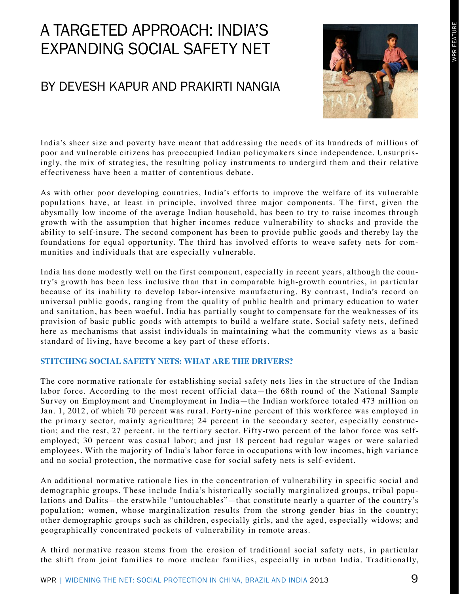### A Targeted Approach: India's Expanding Social Safety Net

### By Devesh Kapur and Prakirti Nangia



India's sheer size and poverty have meant that addressing the needs of its hundreds of millions of poor and vulnerable citizens has preoccupied Indian policymakers since independence. Unsurprisingly, the mix of strategies, the resulting policy instruments to undergird them and their relative effectiveness have been a matter of contentious debate.

As with other poor developing countries, India's efforts to improve the welfare of its vulnerable populations have, at least in principle, involved three major components. The first, given the abysmally low income of the average Indian household, has been to try to raise incomes through growth with the assumption that higher incomes reduce vulnerability to shocks and provide the ability to self-insure. The second component has been to provide public goods and thereby lay the foundations for equal opportunity. The third has involved efforts to weave safety nets for communities and individuals that are especially vulnerable.

India has done modestly well on the first component, especially in recent years, although the country's growth has been less inclusive than that in comparable high-growth countries, in particular because of its inability to develop labor-intensive manufacturing. By contrast, India's record on universal public goods, ranging from the quality of public health and primary education to water and sanitation, has been woeful. India has partially sought to compensate for the weaknesses of its provision of basic public goods with attempts to build a welfare state. Social safety nets, defined here as mechanisms that assist individuals in maintaining what the community views as a basic standard of living, have become a key part of these efforts.

#### **Stitching Social Safety Nets: What Are the Drivers?**

The core normative rationale for establishing social safety nets lies in the structure of the Indian labor force. According to the most recent official data—the 68th round of the National Sample Survey on Employment and Unemployment in India—the Indian workforce totaled 473 million on Jan. 1, 2012, of which 70 percent was rural. Forty-nine percent of this workforce was employed in the primary sector, mainly agriculture; 24 percent in the secondary sector, especially construction; and the rest, 27 percent, in the tertiary sector. Fifty-two percent of the labor force was selfemployed; 30 percent was casual labor; and just 18 percent had regular wages or were salaried employees. With the majority of India's labor force in occupations with low incomes, high variance and no social protection, the normative case for social safety nets is self-evident.

An additional normative rationale lies in the concentration of vulnerability in specific social and demographic groups. These include India's historically socially marginalized groups, tribal populations and Dalits—the erstwhile "untouchables"—that constitute nearly a quarter of the country's population; women, whose marginalization results from the strong gender bias in the country; other demographic groups such as children, especially girls, and the aged, especially widows; and geographically concentrated pockets of vulnerability in remote areas.

A third normative reason stems from the erosion of traditional social safety nets, in particular the shift from joint families to more nuclear families, especially in urban India. Traditionally,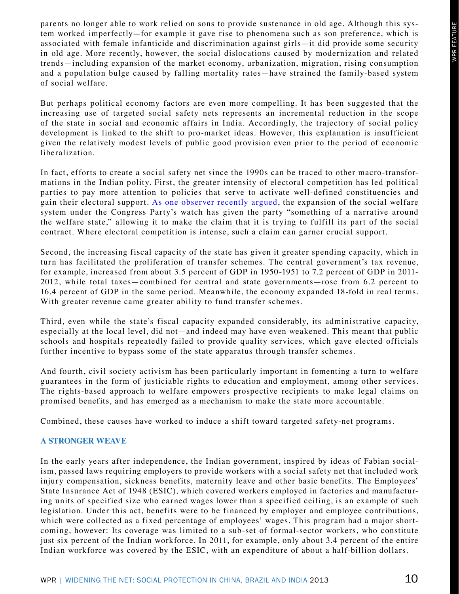parents no longer able to work relied on sons to provide sustenance in old age. Although this system worked imperfectly—for example it gave rise to phenomena such as son preference, which is associated with female infanticide and discrimination against girls—it did provide some security in old age. More recently, however, the social dislocations caused by modernization and related trends—including expansion of the market economy, urbanization, migration, rising consumption and a population bulge caused by falling mortality rates—have strained the family-based system of social welfare.

But perhaps political economy factors are even more compelling. It has been suggested that the increasing use of targeted social safety nets represents an incremental reduction in the scope of the state in social and economic affairs in India. Accordingly, the trajectory of social policy development is linked to the shift to pro-market ideas. However, this explanation is insufficient given the relatively modest levels of public good provision even prior to the period of economic liberalization.

In fact, efforts to create a social safety net since the 1990s can be traced to other macro-transformations in the Indian polity. First, the greater intensity of electoral competition has led political parties to pay more attention to policies that serve to activate well-defined constituencies and gain their electoral support. [As one observer recently argued](http://www.indianexpress.com/news/once-upon-a-food-bill/1160880), the expansion of the social welfare system under the Congress Party's watch has given the party "something of a narrative around the welfare state," allowing it to make the claim that it is trying to fulfill its part of the social contract. Where electoral competition is intense, such a claim can garner crucial support.

Second, the increasing fiscal capacity of the state has given it greater spending capacity, which in turn has facilitated the proliferation of transfer schemes. The central government's tax revenue, for example, increased from about 3.5 percent of GDP in 1950-1951 to 7.2 percent of GDP in 2011- 2012, while total taxes—combined for central and state governments—rose from 6.2 percent to 16.4 percent of GDP in the same period. Meanwhile, the economy expanded 18-fold in real terms. With greater revenue came greater ability to fund transfer schemes.

Third, even while the state's fiscal capacity expanded considerably, its administrative capacity, especially at the local level, did not—and indeed may have even weakened. This meant that public schools and hospitals repeatedly failed to provide quality services, which gave elected officials further incentive to bypass some of the state apparatus through transfer schemes.

And fourth, civil society activism has been particularly important in fomenting a turn to welfare guarantees in the form of justiciable rights to education and employment, among other services. The rights-based approach to welfare empowers prospective recipients to make legal claims on promised benefits, and has emerged as a mechanism to make the state more accountable.

Combined, these causes have worked to induce a shift toward targeted safety-net programs.

#### **A Stronger Weave**

In the early years after independence, the Indian government, inspired by ideas of Fabian socialism, passed laws requiring employers to provide workers with a social safety net that included work injury compensation, sickness benefits, maternity leave and other basic benefits. The Employees' State Insurance Act of 1948 (ESIC), which covered workers employed in factories and manufacturing units of specified size who earned wages lower than a specified ceiling, is an example of such legislation. Under this act, benefits were to be financed by employer and employee contributions, which were collected as a fixed percentage of employees' wages. This program had a major shortcoming, however: Its coverage was limited to a sub-set of formal-sector workers, who constitute just six percent of the Indian workforce. In 2011, for example, only about 3.4 percent of the entire Indian workforce was covered by the ESIC, with an expenditure of about a half-billion dollars.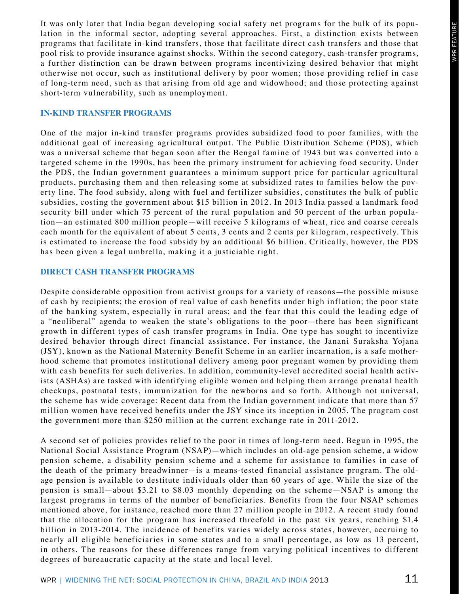It was only later that India began developing social safety net programs for the bulk of its population in the informal sector, adopting several approaches. First, a distinction exists between programs that facilitate in-kind transfers, those that facilitate direct cash transfers and those that pool risk to provide insurance against shocks. Within the second category, cash-transfer programs, a further distinction can be drawn between programs incentivizing desired behavior that might otherwise not occur, such as institutional delivery by poor women; those providing relief in case of long-term need, such as that arising from old age and widowhood; and those protecting against short-term vulnerability, such as unemployment.

#### **In-Kind Transfer Programs**

One of the major in-kind transfer programs provides subsidized food to poor families, with the additional goal of increasing agricultural output. The Public Distribution Scheme (PDS), which was a universal scheme that began soon after the Bengal famine of 1943 but was converted into a targeted scheme in the 1990s, has been the primary instrument for achieving food security. Under the PDS, the Indian government guarantees a minimum support price for particular agricultural products, purchasing them and then releasing some at subsidized rates to families below the poverty line. The food subsidy, along with fuel and fertilizer subsidies, constitutes the bulk of public subsidies, costing the government about \$15 billion in 2012. In 2013 India passed a landmark food security bill under which 75 percent of the rural population and 50 percent of the urban population—an estimated 800 million people—will receive 5 kilograms of wheat, rice and coarse cereals each month for the equivalent of about 5 cents, 3 cents and 2 cents per kilogram, respectively. This is estimated to increase the food subsidy by an additional \$6 billion. Critically, however, the PDS has been given a legal umbrella, making it a justiciable right.

#### **Direct Cash Transfer Programs**

Despite considerable opposition from activist groups for a variety of reasons—the possible misuse of cash by recipients; the erosion of real value of cash benefits under high inflation; the poor state of the banking system, especially in rural areas; and the fear that this could the leading edge of a "neoliberal" agenda to weaken the state's obligations to the poor—there has been significant growth in different types of cash transfer programs in India. One type has sought to incentivize desired behavior through direct financial assistance. For instance, the Janani Suraksha Yojana (JSY), known as the National Maternity Benefit Scheme in an earlier incarnation, is a safe motherhood scheme that promotes institutional delivery among poor pregnant women by providing them with cash benefits for such deliveries. In addition, community-level accredited social health activists (ASHAs) are tasked with identifying eligible women and helping them arrange prenatal health checkups, postnatal tests, immunization for the newborns and so forth. Although not universal, the scheme has wide coverage: Recent data from the Indian government indicate that more than 57 million women have received benefits under the JSY since its inception in 2005. The program cost the government more than \$250 million at the current exchange rate in 2011-2012.

A second set of policies provides relief to the poor in times of long-term need. Begun in 1995, the National Social Assistance Program (NSAP)—which includes an old-age pension scheme, a widow pension scheme, a disability pension scheme and a scheme for assistance to families in case of the death of the primary breadwinner—is a means-tested financial assistance program. The oldage pension is available to destitute individuals older than 60 years of age. While the size of the pension is small—about \$3.21 to \$8.03 monthly depending on the scheme—NSAP is among the largest programs in terms of the number of beneficiaries. Benefits from the four NSAP schemes mentioned above, for instance, reached more than 27 million people in 2012. A recent study found that the allocation for the program has increased threefold in the past six years, reaching \$1.4 billion in 2013-2014. The incidence of benefits varies widely across states, however, accruing to nearly all eligible beneficiaries in some states and to a small percentage, as low as 13 percent, in others. The reasons for these differences range from varying political incentives to different degrees of bureaucratic capacity at the state and local level.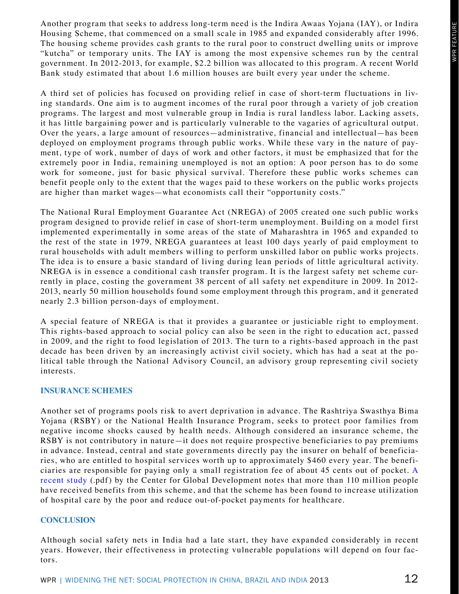Another program that seeks to address long-term need is the Indira Awaas Yojana (IAY), or Indira Housing Scheme, that commenced on a small scale in 1985 and expanded considerably after 1996. The housing scheme provides cash grants to the rural poor to construct dwelling units or improve "kutcha" or temporary units. The IAY is among the most expensive schemes run by the central government. In 2012-2013, for example, \$2.2 billion was allocated to this program. A recent World Bank study estimated that about 1.6 million houses are built every year under the scheme.

A third set of policies has focused on providing relief in case of short-term fluctuations in living standards. One aim is to augment incomes of the rural poor through a variety of job creation programs. The largest and most vulnerable group in India is rural landless labor. Lacking assets, it has little bargaining power and is particularly vulnerable to the vagaries of agricultural output. Over the years, a large amount of resources—administrative, financial and intellectual—has been deployed on employment programs through public works. While these vary in the nature of payment, type of work, number of days of work and other factors, it must be emphasized that for the extremely poor in India, remaining unemployed is not an option: A poor person has to do some work for someone, just for basic physical survival. Therefore these public works schemes can benefit people only to the extent that the wages paid to these workers on the public works projects are higher than market wages—what economists call their "opportunity costs."

The National Rural Employment Guarantee Act (NREGA) of 2005 created one such public works program designed to provide relief in case of short-term unemployment. Building on a model first implemented experimentally in some areas of the state of Maharashtra in 1965 and expanded to the rest of the state in 1979, NREGA guarantees at least 100 days yearly of paid employment to rural households with adult members willing to perform unskilled labor on public works projects. The idea is to ensure a basic standard of living during lean periods of little agricultural activity. NREGA is in essence a conditional cash transfer program. It is the largest safety net scheme currently in place, costing the government 38 percent of all safety net expenditure in 2009. In 2012- 2013, nearly 50 million households found some employment through this program, and it generated nearly 2.3 billion person-days of employment.

A special feature of NREGA is that it provides a guarantee or justiciable right to employment. This rights-based approach to social policy can also be seen in the right to education act, passed in 2009, and the right to food legislation of 2013. The turn to a rights-based approach in the past decade has been driven by an increasingly activist civil society, which has had a seat at the political table through the National Advisory Council, an advisory group representing civil society interests.

#### **Insurance Schemes**

Another set of programs pools risk to avert deprivation in advance. The Rashtriya Swasthya Bima Yojana (RSBY) or the National Health Insurance Program, seeks to protect poor families from negative income shocks caused by health needs. Although considered an insurance scheme, the RSBY is not contributory in nature—it does not require prospective beneficiaries to pay premiums in advance. Instead, central and state governments directly pay the insurer on behalf of beneficiaries, who are entitled to hospital services worth up to approximately \$460 every year. The beneficiaries are responsible for paying only a small registration fee of about 45 cents out of pocket. [A](http://www.cgdev.org/sites/default/files/early-success-indias-health-insurance.pdf)  [recent study](http://www.cgdev.org/sites/default/files/early-success-indias-health-insurance.pdf) (.pdf) by the Center for Global Development notes that more than 110 million people have received benefits from this scheme, and that the scheme has been found to increase utilization of hospital care by the poor and reduce out-of-pocket payments for healthcare.

#### **Conclusion**

Although social safety nets in India had a late start, they have expanded considerably in recent years. However, their effectiveness in protecting vulnerable populations will depend on four factors.